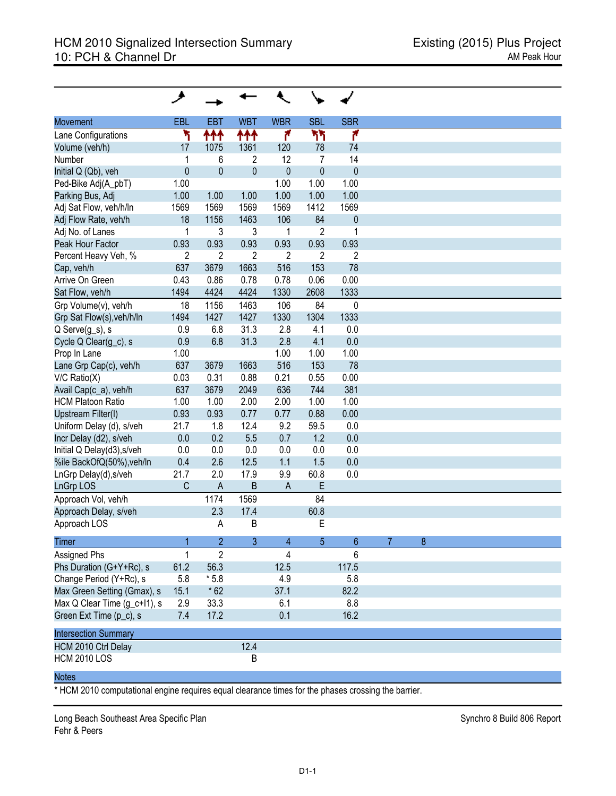| <b>Movement</b>                           | EBL            | EBT            | <b>WBT</b>     | <b>WBR</b>     | <b>SBL</b>     | <b>SBR</b>      |
|-------------------------------------------|----------------|----------------|----------------|----------------|----------------|-----------------|
| Lane Configurations                       | ۲              | 111            | ተተተ            | ۴              | ካካ             | ۴               |
| Volume (veh/h)                            | 17             | 1075           | 1361           | 120            | 78             | 74              |
| Number                                    | $\mathbf{1}$   | 6              | $\overline{2}$ | 12             | $\overline{7}$ | 14              |
| Initial Q (Qb), veh                       | $\mathbf{0}$   | $\mathbf 0$    | $\overline{0}$ | $\mathbf{0}$   | $\overline{0}$ | $\mathbf{0}$    |
| Ped-Bike Adj(A_pbT)                       | 1.00           |                |                | 1.00           | 1.00           | 1.00            |
| Parking Bus, Adj                          | 1.00           | 1.00           | 1.00           | 1.00           | 1.00           | 1.00            |
| Adj Sat Flow, veh/h/ln                    | 1569           | 1569           | 1569           | 1569           | 1412           | 1569            |
| Adj Flow Rate, veh/h                      | 18             | 1156           | 1463           | 106            | 84             | $\theta$        |
| Adj No. of Lanes                          | 1              | 3              | 3              | 1              | $\overline{2}$ | 1               |
| Peak Hour Factor                          | 0.93           | 0.93           | 0.93           | 0.93           | 0.93           | 0.93            |
| Percent Heavy Veh, %                      | $\overline{2}$ | $\overline{2}$ | $\overline{2}$ | $\overline{2}$ | $\overline{2}$ | $\overline{2}$  |
| Cap, veh/h                                | 637            | 3679           | 1663           | 516            | 153            | 78              |
| Arrive On Green                           | 0.43           | 0.86           | 0.78           | 0.78           | 0.06           | 0.00            |
| Sat Flow, veh/h                           | 1494           | 4424           | 4424           | 1330           | 2608           | 1333            |
| Grp Volume(v), veh/h                      | 18             | 1156           | 1463           | 106            | 84             | $\mathbf{0}$    |
| Grp Sat Flow(s), veh/h/ln                 | 1494           | 1427           | 1427           | 1330           | 1304           | 1333            |
| Q Serve(g_s), s                           | 0.9            | 6.8            | 31.3           | 2.8            | 4.1            | 0.0             |
| Cycle Q Clear(g_c), s                     | 0.9            | 6.8            | 31.3           | 2.8            | 4.1            | 0.0             |
| Prop In Lane                              | 1.00           |                |                | 1.00           | 1.00           | 1.00            |
| Lane Grp Cap(c), veh/h                    | 637            | 3679           | 1663           | 516            | 153            | 78              |
| $V/C$ Ratio $(X)$                         | 0.03           | 0.31           | 0.88           | 0.21           | 0.55           | 0.00            |
| Avail Cap(c_a), veh/h                     | 637            | 3679           | 2049           | 636            | 744            | 381             |
| <b>HCM Platoon Ratio</b>                  | 1.00           | 1.00           | 2.00           | 2.00           | 1.00           | 1.00            |
| Upstream Filter(I)                        | 0.93           | 0.93           | 0.77           | 0.77           | 0.88           | 0.00            |
| Uniform Delay (d), s/veh                  | 21.7           | 1.8            | 12.4           | 9.2            | 59.5           | 0.0             |
| Incr Delay (d2), s/veh                    | 0.0            | 0.2            | 5.5            | 0.7            | 1.2            | 0.0             |
| Initial Q Delay(d3), s/veh                | 0.0            | 0.0            | 0.0            | 0.0            | 0.0            | 0.0             |
| %ile BackOfQ(50%), veh/ln                 | 0.4            | 2.6            | 12.5           | 1.1            | 1.5            | 0.0             |
|                                           | 21.7           | 2.0            | 17.9           | 9.9            | 60.8           | 0.0             |
| LnGrp Delay(d), s/veh<br><b>LnGrp LOS</b> | C              | $\mathsf{A}$   | $\sf B$        | $\mathsf{A}$   | E              |                 |
|                                           |                |                |                |                |                |                 |
| Approach Vol, veh/h                       |                | 1174           | 1569           |                | 84             |                 |
| Approach Delay, s/veh                     |                | 2.3            | 17.4           |                | 60.8           |                 |
| Approach LOS                              |                | A              | B              |                | E              |                 |
| Timer                                     |                | $\overline{c}$ | 3              | 4              | 5              | $6\phantom{.}6$ |
| Assigned Phs                              | 1              | $\overline{2}$ |                | 4              |                | 6               |
| Phs Duration (G+Y+Rc), s                  | 61.2           | 56.3           |                | 12.5           |                | 117.5           |
| Change Period (Y+Rc), s                   | 5.8            | $*5.8$         |                | 4.9            |                | 5.8             |
| Max Green Setting (Gmax), s               | 15.1           | $*62$          |                | 37.1           |                | 82.2            |
| Max Q Clear Time (g c+l1), s              | 2.9            | 33.3           |                | 6.1            |                | 8.8             |
| Green Ext Time (p_c), s                   | 7.4            | 17.2           |                | 0.1            |                | 16.2            |
|                                           |                |                |                |                |                |                 |
| <b>Intersection Summary</b>               |                |                |                |                |                |                 |
| HCM 2010 Ctrl Delay                       |                |                | 12.4           |                |                |                 |
| <b>HCM 2010 LOS</b>                       |                |                | B              |                |                |                 |
|                                           |                |                |                |                |                |                 |

## Notes

\* HCM 2010 computational engine requires equal clearance times for the phases crossing the barrier.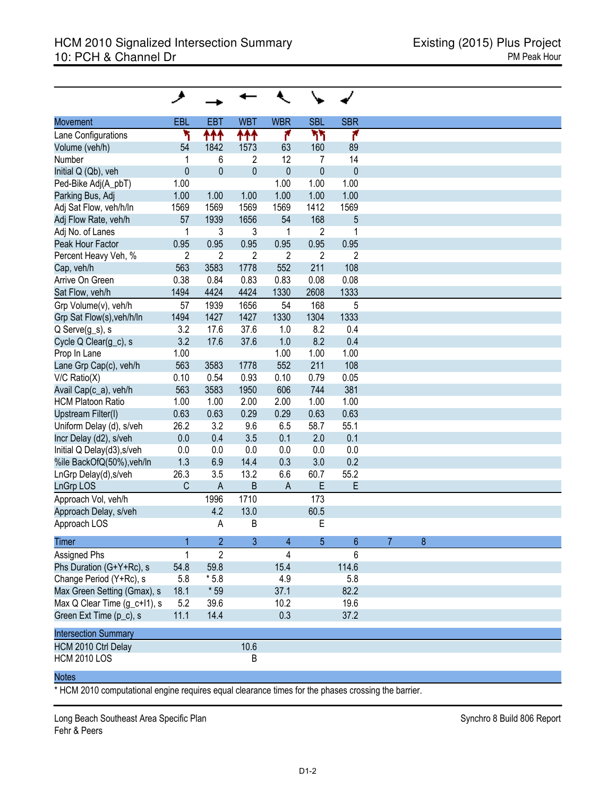|                              | ◢              |                |                |                          |                |                 |   |
|------------------------------|----------------|----------------|----------------|--------------------------|----------------|-----------------|---|
| <b>Movement</b>              | EBL            | EBT            | <b>WBT</b>     | <b>WBR</b>               | <b>SBL</b>     | <b>SBR</b>      |   |
| Lane Configurations          | ۲              | ተተ             | ተተተ            | ۴                        | ካኘ             | ۴               |   |
| Volume (veh/h)               | 54             | 1842           | 1573           | 63                       | 160            | 89              |   |
| Number                       | 1              | 6              | $\overline{2}$ | 12                       | 7              | 14              |   |
| Initial Q (Qb), veh          | $\mathbf{0}$   | $\mathbf 0$    | $\overline{0}$ | $\mathbf{0}$             | $\overline{0}$ | $\mathbf{0}$    |   |
| Ped-Bike Adj(A_pbT)          | 1.00           |                |                | 1.00                     | 1.00           | 1.00            |   |
| Parking Bus, Adj             | 1.00           | 1.00           | 1.00           | 1.00                     | 1.00           | 1.00            |   |
| Adj Sat Flow, veh/h/ln       | 1569           | 1569           | 1569           | 1569                     | 1412           | 1569            |   |
| Adj Flow Rate, veh/h         | 57             | 1939           | 1656           | 54                       | 168            | 5               |   |
| Adj No. of Lanes             | 1              | 3              | 3              | 1                        | $\overline{2}$ | 1               |   |
| Peak Hour Factor             | 0.95           | 0.95           | 0.95           | 0.95                     | 0.95           | 0.95            |   |
| Percent Heavy Veh, %         | $\overline{2}$ | $\overline{c}$ | $\overline{2}$ | $\overline{2}$           | $\overline{2}$ | $\overline{2}$  |   |
| Cap, veh/h                   | 563            | 3583           | 1778           | 552                      | 211            | 108             |   |
| Arrive On Green              | 0.38           | 0.84           | 0.83           | 0.83                     | 0.08           | 0.08            |   |
| Sat Flow, veh/h              | 1494           | 4424           | 4424           | 1330                     | 2608           | 1333            |   |
| Grp Volume(v), veh/h         | 57             | 1939           | 1656           | 54                       | 168            | 5               |   |
| Grp Sat Flow(s), veh/h/ln    | 1494           | 1427           | 1427           | 1330                     | 1304           | 1333            |   |
| Q Serve(g_s), s              | 3.2            | 17.6           | 37.6           | 1.0                      | 8.2            | 0.4             |   |
| Cycle Q Clear(g_c), s        | 3.2            | 17.6           | 37.6           | 1.0                      | 8.2            | 0.4             |   |
| Prop In Lane                 | 1.00           |                |                | 1.00                     | 1.00           | 1.00            |   |
| Lane Grp Cap(c), veh/h       | 563            | 3583           | 1778           | 552                      | 211            | 108             |   |
| $V/C$ Ratio $(X)$            | 0.10           | 0.54           | 0.93           | 0.10                     | 0.79           | 0.05            |   |
| Avail Cap(c_a), veh/h        | 563            | 3583           | 1950           | 606                      | 744            | 381             |   |
| <b>HCM Platoon Ratio</b>     | 1.00           | 1.00           | 2.00           | 2.00                     | 1.00           | 1.00            |   |
| <b>Upstream Filter(I)</b>    | 0.63           | 0.63           | 0.29           | 0.29                     | 0.63           | 0.63            |   |
| Uniform Delay (d), s/veh     | 26.2           | 3.2            | 9.6            | 6.5                      | 58.7           | 55.1            |   |
| Incr Delay (d2), s/veh       | $0.0\,$        | 0.4            | 3.5            | 0.1                      | 2.0            | 0.1             |   |
| Initial Q Delay(d3), s/veh   | 0.0            | 0.0            | 0.0            | 0.0                      | 0.0            | 0.0             |   |
| %ile BackOfQ(50%), veh/ln    | 1.3            | 6.9            | 14.4           | 0.3                      | 3.0            | 0.2             |   |
| LnGrp Delay(d), s/veh        | 26.3           | 3.5            | 13.2           | 6.6                      | 60.7           | 55.2            |   |
| <b>LnGrp LOS</b>             | C              | $\mathsf{A}$   | $\sf B$        | $\mathsf{A}$             | E              | E               |   |
| Approach Vol, veh/h          |                | 1996           | 1710           |                          | 173            |                 |   |
| Approach Delay, s/veh        |                | 4.2            | 13.0           |                          | 60.5           |                 |   |
| Approach LOS                 |                | A              | $\mathsf B$    |                          | E              |                 |   |
| Timer                        |                | $\overline{2}$ | 3              | $\overline{\mathcal{A}}$ | 5              | $6\phantom{.}6$ | 8 |
| Assigned Phs                 | 1              | $\overline{2}$ |                | 4                        |                | 6               |   |
| Phs Duration (G+Y+Rc), s     | 54.8           | 59.8           |                | 15.4                     |                | 114.6           |   |
| Change Period (Y+Rc), s      | 5.8            | $*5.8$         |                | 4.9                      |                | 5.8             |   |
| Max Green Setting (Gmax), s  | 18.1           | * 59           |                | 37.1                     |                | 82.2            |   |
| Max Q Clear Time (g_c+l1), s | 5.2            | 39.6           |                | 10.2                     |                | 19.6            |   |
| Green Ext Time (p_c), s      | 11.1           | 14.4           |                | 0.3                      |                | 37.2            |   |
| <b>Intersection Summary</b>  |                |                |                |                          |                |                 |   |
| HCM 2010 Ctrl Delay          |                |                | 10.6           |                          |                |                 |   |
| <b>HCM 2010 LOS</b>          |                |                | B              |                          |                |                 |   |
|                              |                |                |                |                          |                |                 |   |

## Notes

\* HCM 2010 computational engine requires equal clearance times for the phases crossing the barrier.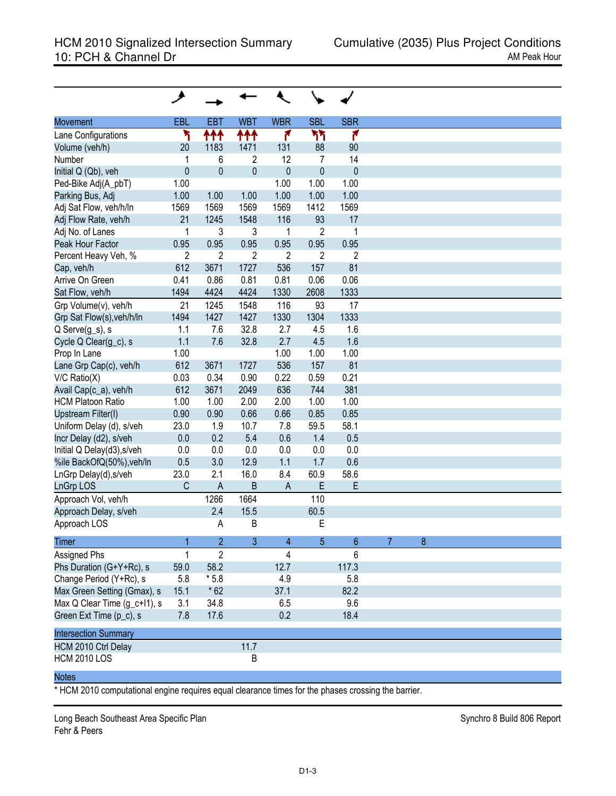| <b>Movement</b>              | <b>EBL</b>     | <b>EBT</b>     | <b>WBT</b>     | <b>WBR</b>     | <b>SBL</b>     | <b>SBR</b>     |
|------------------------------|----------------|----------------|----------------|----------------|----------------|----------------|
| Lane Configurations          | ۲              | ተተተ            | 111            | ۴              | ካካ             | ۴              |
| Volume (veh/h)               | 20             | 1183           | 1471           | 131            | 88             | 90             |
| Number                       | 1              | 6              | 2              | 12             | 7              | 14             |
| Initial Q (Qb), veh          | $\pmb{0}$      | $\mathbf 0$    | $\mathbf{0}$   | $\pmb{0}$      | $\mathbf{0}$   | $\mathbf{0}$   |
| Ped-Bike Adj(A_pbT)          | 1.00           |                |                | 1.00           | 1.00           | 1.00           |
| Parking Bus, Adj             | 1.00           | 1.00           | 1.00           | 1.00           | 1.00           | 1.00           |
| Adj Sat Flow, veh/h/ln       | 1569           | 1569           | 1569           | 1569           | 1412           | 1569           |
| Adj Flow Rate, veh/h         | 21             | 1245           | 1548           | 116            | 93             | 17             |
| Adj No. of Lanes             | 1              | 3              | 3              | 1              | $\overline{c}$ | 1              |
| Peak Hour Factor             | 0.95           | 0.95           | 0.95           | 0.95           | 0.95           | 0.95           |
| Percent Heavy Veh, %         | $\overline{2}$ | $\overline{2}$ | $\overline{2}$ | $\overline{2}$ | $\overline{c}$ | $\overline{c}$ |
| Cap, veh/h                   | 612            | 3671           | 1727           | 536            | 157            | 81             |
| Arrive On Green              | 0.41           | 0.86           | 0.81           | 0.81           | 0.06           | 0.06           |
| Sat Flow, veh/h              | 1494           | 4424           | 4424           | 1330           | 2608           | 1333           |
| Grp Volume(v), veh/h         | 21             | 1245           | 1548           | 116            | 93             | 17             |
|                              |                |                |                |                |                |                |
| Grp Sat Flow(s), veh/h/ln    | 1494           | 1427           | 1427           | 1330           | 1304           | 1333           |
| Q Serve(g_s), s              | 1.1            | 7.6            | 32.8           | 2.7            | 4.5            | 1.6            |
| Cycle Q Clear(g_c), s        | 1.1            | 7.6            | 32.8           | 2.7            | 4.5            | 1.6            |
| Prop In Lane                 | 1.00           |                |                | 1.00           | 1.00           | 1.00           |
| Lane Grp Cap(c), veh/h       | 612            | 3671           | 1727           | 536            | 157            | 81             |
| $V/C$ Ratio $(X)$            | 0.03           | 0.34           | 0.90           | 0.22           | 0.59           | 0.21           |
| Avail Cap(c_a), veh/h        | 612            | 3671           | 2049           | 636            | 744            | 381            |
| <b>HCM Platoon Ratio</b>     | 1.00           | 1.00           | 2.00           | 2.00           | 1.00           | 1.00           |
| Upstream Filter(I)           | 0.90           | 0.90           | 0.66           | 0.66           | 0.85           | 0.85           |
| Uniform Delay (d), s/veh     | 23.0           | 1.9            | 10.7           | 7.8            | 59.5           | 58.1           |
| Incr Delay (d2), s/veh       | 0.0            | 0.2            | 5.4            | 0.6            | 1.4            | 0.5            |
| Initial Q Delay(d3), s/veh   | 0.0            | 0.0            | 0.0            | 0.0            | 0.0            | 0.0            |
| %ile BackOfQ(50%), veh/ln    | 0.5            | 3.0            | 12.9           | 1.1            | 1.7            | 0.6            |
| LnGrp Delay(d), s/veh        | 23.0           | 2.1            | 16.0           | 8.4            | 60.9           | 58.6           |
| <b>LnGrp LOS</b>             | C              | $\mathsf{A}$   | B              | $\overline{A}$ | E              | E              |
| Approach Vol, veh/h          |                | 1266           | 1664           |                | 110            |                |
| Approach Delay, s/veh        |                | 2.4            | 15.5           |                | 60.5           |                |
| Approach LOS                 |                | Α              | B              |                | Е              |                |
|                              |                |                |                |                |                |                |
| Timer                        |                | 2              | 3              | 4              | 5              | 6              |
| <b>Assigned Phs</b>          | 1              | $\overline{2}$ |                | 4              |                | 6              |
| Phs Duration (G+Y+Rc), s     | 59.0           | 58.2           |                | 12.7           |                | 117.3          |
| Change Period (Y+Rc), s      | 5.8            | $*5.8$         |                | 4.9            |                | 5.8            |
| Max Green Setting (Gmax), s  | 15.1           | $*62$          |                | 37.1           |                | 82.2           |
| Max Q Clear Time (g_c+l1), s | 3.1            | 34.8           |                | 6.5            |                | 9.6            |
| Green Ext Time (p_c), s      | 7.8            | 17.6           |                | 0.2            |                | 18.4           |
| <b>Intersection Summary</b>  |                |                |                |                |                |                |
| HCM 2010 Ctrl Delay          |                |                | 11.7           |                |                |                |
| <b>HCM 2010 LOS</b>          |                |                | B              |                |                |                |
|                              |                |                |                |                |                |                |
| <b>Notes</b>                 |                |                |                |                |                |                |

\* HCM 2010 computational engine requires equal clearance times for the phases crossing the barrier.